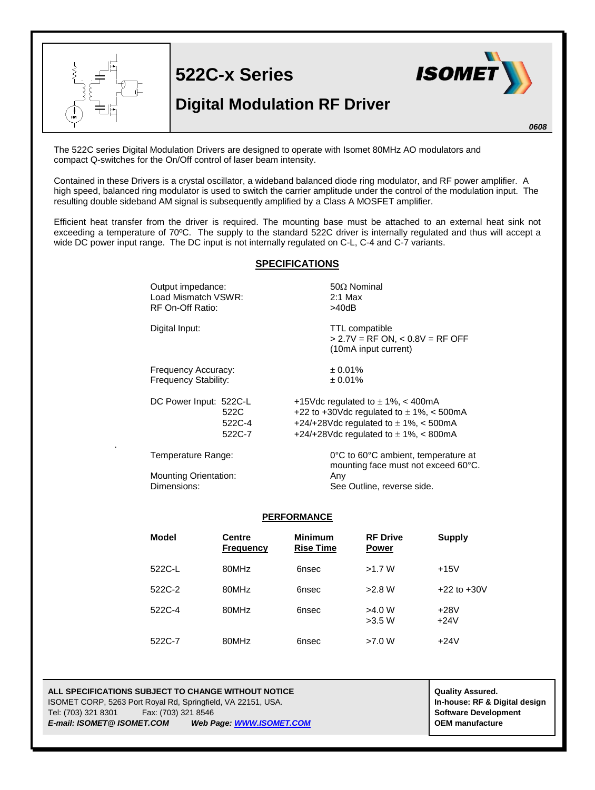

The 522C series Digital Modulation Drivers are designed to operate with Isomet 80MHz AO modulators and compact Q-switches for the On/Off control of laser beam intensity.

Contained in these Drivers is a crystal oscillator, a wideband balanced diode ring modulator, and RF power amplifier. A high speed, balanced ring modulator is used to switch the carrier amplitude under the control of the modulation input. The resulting double sideband AM signal is subsequently amplified by a Class A MOSFET amplifier.

Efficient heat transfer from the driver is required. The mounting base must be attached to an external heat sink not exceeding a temperature of 70ºC. The supply to the standard 522C driver is internally regulated and thus will accept a wide DC power input range. The DC input is not internally regulated on C-L, C-4 and C-7 variants.

## **SPECIFICATIONS**

| Output impedance:<br>Load Mismatch VSWR:<br><b>RF On-Off Ratio:</b> |                          | $50\Omega$ Nominal<br>$2:1$ Max<br>>40dB                                                                                                                                        |  |  |
|---------------------------------------------------------------------|--------------------------|---------------------------------------------------------------------------------------------------------------------------------------------------------------------------------|--|--|
| Digital Input:                                                      |                          | <b>TTL</b> compatible<br>$> 2.7V = RF ON$ , < 0.8V = RF OFF<br>(10mA input current)                                                                                             |  |  |
| Frequency Accuracy:<br><b>Frequency Stability:</b>                  |                          | ± 0.01%<br>$± 0.01\%$                                                                                                                                                           |  |  |
| DC Power Input: 522C-L                                              | 522C<br>522C-4<br>522C-7 | +15Vdc regulated to $\pm$ 1%, < 400mA<br>+22 to +30Vdc regulated to $\pm$ 1%, < 500mA<br>+24/+28Vdc regulated to $\pm$ 1%, < 500mA<br>+24/+28Vdc regulated to $\pm$ 1%, < 800mA |  |  |
| Temperature Range:                                                  |                          | $0^{\circ}$ C to 60 $^{\circ}$ C ambient, temperature at                                                                                                                        |  |  |

mounting face must not exceed 60°C.

See Outline, reverse side.

Mounting Orientation: 
<br>
Dimensions: 
See

.

## **PERFORMANCE**

| <b>Model</b> | <b>Centre</b><br><b>Frequency</b> | <b>Minimum</b><br><b>Rise Time</b> | <b>RF Drive</b><br><b>Power</b> | <b>Supply</b>    |
|--------------|-----------------------------------|------------------------------------|---------------------------------|------------------|
| 522C-L       | 80MHz                             | 6nsec                              | >1.7 W                          | $+15V$           |
| 522C-2       | 80MHz                             | 6nsec                              | >2.8 W                          | $+22$ to $+30V$  |
| 522C-4       | 80MHz                             | 6nsec                              | >4.0 W<br>>3.5 W                | $+28V$<br>$+24V$ |
| 522C-7       | 80MHz                             | 6nsec                              | >7.0 W                          | $+24V$           |

## **ALL SPECIFICATIONS SUBJECT TO CHANGE WITHOUT NOTICE ALL SPECIFICATIONS SUBJECT TO CHANGE WITHOUT NOTICE** ISOMET CORP, 5263 Port Royal Rd, Springfield, VA 22151, USA. **In-house: RF & Digital design** Tel: (703) 321 8301 Fax: (703) 321 8546 **Software Development** *E-mail: ISOMET@ ISOMET.COM Web Page[: WWW.ISOMET.COM](http://www.isomet.com/)* **OEM manufacture**